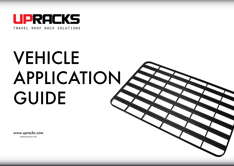

# VEHICLE APPLICATION GUIDE

www.upracks.com Updated September 2016

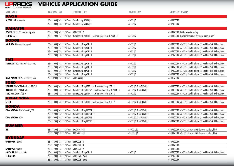| MAKE   MODEL                                                                                                                                                   | ROOF RACK   SIZE                                                                                                                                                                                                         | LEG KIT PN.   QTY                                                                                                                                                                                                                                              | ADAPTER   QTY                                                                | RAILING 360° REMARKS                                                                                                                                                                                                                                                                                                            |
|----------------------------------------------------------------------------------------------------------------------------------------------------------------|--------------------------------------------------------------------------------------------------------------------------------------------------------------------------------------------------------------------------|----------------------------------------------------------------------------------------------------------------------------------------------------------------------------------------------------------------------------------------------------------------|------------------------------------------------------------------------------|---------------------------------------------------------------------------------------------------------------------------------------------------------------------------------------------------------------------------------------------------------------------------------------------------------------------------------|
| DACIA<br><b>DUSTER</b> with factory rails                                                                                                                      | 63-141000   1432*1097 mm  Rhino-Rack leg SX006   2<br>63-171000   1786*1097 mm  Rhino-Rack leg SX006   2                                                                                                                 |                                                                                                                                                                                                                                                                | $63$ -FKR $\mid$ 2<br>$63$ -FKR $\mid$ 2                                     | 63-141000TR<br>63-171000TR                                                                                                                                                                                                                                                                                                      |
| <b>DAIHATSU</b><br>ROCKY '84 <> '99 steel hardtop only<br><b>TERIOS '97-&gt;</b>                                                                               | 63-141200   1432*1287 mm 63-FK001B   2                                                                                                                                                                                   | 63-141200   1432*1287 mm Rhino-Rack HD leg RT11   1 & Rhino-Rack HD leg RLT500N   2                                                                                                                                                                            | $63$ -FKR $ 2$                                                               | 63-141200TR Not for polyester hardtop<br>63-141200TR Needs drilling in roof for riveting tracks on roof                                                                                                                                                                                                                         |
| <b>DODGE</b><br>JOURNEY '08-> with factory rails                                                                                                               | 63-141000   1432*1097 mm  Rhino-Rack HD leg CXB   1<br>63-141200   1432*1287 mm  Rhino-Rack HD leg CXB   1<br>63-171000   1786*1097 mm  Rhino-Rack HD leg CXB   1<br>63-171200   1786*1287 mm  Rhino-Rack HD leg CXB   1 |                                                                                                                                                                                                                                                                | $63$ -FKR $ 2$<br>$63$ -FKR $ 2$<br>$63$ -FKR $\mid$ 2<br>$63$ -FKR $\mid$ 2 | 63-141000TR 63-FKR is C-profile adapter (2) for Rhino-Rack HD legs, black<br>63-141200TR 63-FKR is C-profile adapter (2) for Rhino-Rack HD legs, black<br>63-171000TR 63-FKR is C-profile adapter (2) for Rhino-Rack HD legs, black<br>63-171200TR 63-FKR is C-profile adapter (2) for Rhino-Rack HD legs, black                |
| FIAT                                                                                                                                                           |                                                                                                                                                                                                                          |                                                                                                                                                                                                                                                                |                                                                              |                                                                                                                                                                                                                                                                                                                                 |
| FREEMONT 10/'11-> with factory rails<br><b>NEW PANDA</b> $2012 >$ with factory rails                                                                           | 63-141000   1432*1097 mm  Rhino-Rack HD leg CXB   1<br>63-141200   1432*1287 mm<br>63-171000   1786*1097 mm  Rhino-Rack HD leg CXB   1<br>63-171200   1786*1287 mm  Rhino-Rack HD leg CXB   1<br>63-140900   1432*907 mm | Rhino-Rack HD leg CXB   1<br>63-FKPANDA   1                                                                                                                                                                                                                    | $63$ -FKR $ 2$<br>63-FKR   2<br>$63$ -FKR $ 2$<br>63-FKR   2                 | 63-141000TR 63-FKR is C-profile adapter (2) for Rhino-Rack HD legs, black<br>63-141200TR 63-FKR is C-profile adapter (2) for Rhino-Rack HD legs, black<br>63-171000TR 63-FKR is C-profile adapter (2) for Rhino-Rack HD legs, black<br>63-171200TR 63-FKR is C-profile adapter (2) for Rhino-Rack HD legs, black<br>63-140900TR |
| <b>FORD</b>                                                                                                                                                    |                                                                                                                                                                                                                          |                                                                                                                                                                                                                                                                |                                                                              |                                                                                                                                                                                                                                                                                                                                 |
| <b>RANGER 01/'07 DUAL CAB &lt;&gt; 12/'11</b><br><b>RANGER 01/'12 DUAL CAB <math>\rightarrow</math></b><br><b>F250 DUAL CAB 01/03 <math>\rightarrow</math></b> |                                                                                                                                                                                                                          | 63-141000   1432*1097 mm Rhino-Rack HD leg RT11   1 & Rhino-Rack HD leg RLTF   2<br>63-141000   1432*1097 mm Rhino-Rack HD leg RTS525   1 & Rhino-Rack HD leg RLT500N   2<br>63-141200   1432*1287 mm  Rhino-Rack HD leg RT14   1 & Rhino-Rack HD leg RLTP   2 | 63-FKR   2 & 63-FKRAIL   1<br>63-FKR   2 & 63-FKRAIL   1<br>$63$ -FKR $ 2$   | 63-141000TR 63-FKR is C-profile adapter (2) for Rhino-Rack HD legs, black<br>63-141000TR 63-FKR is C-profile adapter (2) for Rhino-Rack HD legs, black<br>63-141200TR 63-FKR is C-profile adapter (2) for Rhino-Rack HD legs, black                                                                                             |
| <b>GREAT WALL</b>                                                                                                                                              |                                                                                                                                                                                                                          |                                                                                                                                                                                                                                                                |                                                                              |                                                                                                                                                                                                                                                                                                                                 |
| <b>STEED</b>                                                                                                                                                   |                                                                                                                                                                                                                          | 63-141000   1432*1097 mm Rhino-Rack HD leg RT11   1 & Rhino-Rack HD leg RLTF   2                                                                                                                                                                               | 63-FKR   2 & 63-FKRAIL   1                                                   | 63-141000TR 63-FKR is C-profile adapter (2) for Rhino-Rack HD legs, black                                                                                                                                                                                                                                                       |
| HONDA                                                                                                                                                          |                                                                                                                                                                                                                          |                                                                                                                                                                                                                                                                |                                                                              |                                                                                                                                                                                                                                                                                                                                 |
| <b>CR-V WAGON</b> $01/702 \le 01/707$                                                                                                                          | 63-141200   1432*1287 mm                                                                                                                                                                                                 | 63-141000   1432*1097 mm  Rhino-Rack HD leg RLCP01   1<br>Rhino-Rack HD leg RLCP01   1                                                                                                                                                                         | 63-FKR   2 & 63-FKRAIL   2<br>63-FKR   2 & 63-FKRAIL   2                     | 63-141000TR 63-FKR is C-profile adapter (2) for Rhino-Rack HD legs, black<br>63-141200TR 63-FKR is C-profile adapter (2) for Rhino-Rack HD legs, black                                                                                                                                                                          |
| CR-V WAGON '07->                                                                                                                                               |                                                                                                                                                                                                                          | 63-141000   1432*1097 mm    Rhino-Rack HD leg    RLCP15   1<br>63-141200   1432*1287 mm  Rhino-Rack HD leg RLCP15   1                                                                                                                                          | 63-FKR   2 & 63-FKRAIL   2<br>63-FKR   2 & 63-FKRAIL   2                     | 63-141000TR 63-FKR is C-profile adapter (2) for Rhino-Rack HD legs, black<br>63-141200TR 63-FKR is C-profile adapter (2) for Rhino-Rack HD legs, black                                                                                                                                                                          |
| HUMMER                                                                                                                                                         |                                                                                                                                                                                                                          |                                                                                                                                                                                                                                                                |                                                                              |                                                                                                                                                                                                                                                                                                                                 |
| H3                                                                                                                                                             | 63-171200   1786*1287 mm 39-3768010   1<br>63-211200   2139*1287 mm 39-3768010   1                                                                                                                                       |                                                                                                                                                                                                                                                                | 63-FKRAIL   2<br>63-FKRAIL   3                                               | 63-171200TR 63-FKRAIL is plate kit (2) between crossbars, black<br>63-211200TR 63-FKRAIL is plate kit (2) between crossbars, black                                                                                                                                                                                              |
| <b>HYUNDAY</b>                                                                                                                                                 |                                                                                                                                                                                                                          |                                                                                                                                                                                                                                                                |                                                                              |                                                                                                                                                                                                                                                                                                                                 |
| <b>GALLOPER 4 DOORS</b>                                                                                                                                        | 63-171200   1786*1287 mm 63-FK002B   3<br>63-211200   2139*1287 mm 63-FK002B   3                                                                                                                                         |                                                                                                                                                                                                                                                                |                                                                              | 63-171200TR<br>63-211200TR                                                                                                                                                                                                                                                                                                      |
| <b>GALLOPER 2 DOORS</b><br><b>SANTA FE With factory rails</b>                                                                                                  | 63-141200   1432*1287 mm 63-FK002B   2<br>63-171000   1786*1097 mm  Rhino-Rack HD leg CXB   1                                                                                                                            |                                                                                                                                                                                                                                                                | $63$ -FKR $ 2$                                                               | 63-141200TR<br>63-171000TR 63-FKR is C-profile adapter (2) for Rhino-Rack HD legs, black                                                                                                                                                                                                                                        |
| <b>TERRACAN</b>                                                                                                                                                | 63-171200   1786*1287 mm 63-FK002B   2 or 3<br>63-211200   2139*1287 mm 63-FK002B   2 or 3                                                                                                                               |                                                                                                                                                                                                                                                                |                                                                              | 63-171200TR<br>63-171200TR                                                                                                                                                                                                                                                                                                      |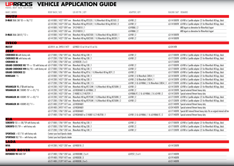**ISUZU**  $D-MAX$  DJAL CAB '03  $\ll 0.6$ '12 63-141000 | 1432\*1097 mm Rhino-Rack HD leg RTS520 | 1 & Rhino-Rack HD leg RLT503 | 2 63-FKR | 2 63-FKR is C-profile adapter (2) for Rhino-Rack HD legs, black 63-141200 | 1432\*1287 mm Rhino-Rack HD leg RTS520 | 1 & Rhino-Rack HD leg RLT503 | 2 63-FKR | 2 63-141000TR 63-FKR is C-profile adapter (2) for Rhino-Rack HD legs, black 63-141000 | 1432\*1097 mm 39-3748010 | 1 63-FKRAIL | 2 63-FKRAIL | 2 ARB legset as alternative for Rhino-Rack legset  $63-FKRAll 2$   $63-FKRAll 2$   $63-FKRAll 1$   $64FKRAll 2$   $65FKRAll 1$   $67FKRAll 1$   $68FKRAll 2$   $68FKRAll 1$   $69FMR1$   $68FMR1$   $68FMR1$   $68FRR1$   $68FRR1$   $68FRR1$   $68FRR1$   $68FRR1$   $68FRR1$   $68FRR1$   $68FRR1$   $68FRR1$   $68FRR1$   $68FRR1$   $68FRR1$   $68FRR1$   $68FRR1$   $68FRR$ **D-MAX** DUAL CAB 07/'12 > 63-141000 | 1432\*1097 mm Rhino-Rack HD leg RLK2500 | 1 & Rhino-Rack HD leg DK330 | 1 63-FKR | 2 63-141000TR 63-141200 | 1432\*1287 mm Rhino-Rack HD leg RLK2500 | 1 & Rhino-Rack HD leg DK330 | 1 63-FKR | 2 63-141000TR **IVECO MASSIF** 63-2414 cm. 2493 X 1477 63-FK02 X 3 or X 4 or X 5 or X 6 63-2414TR **JEEP CHEROKEE KJ** with factory rails 63-171000 | 1786\*1097 mm Rhino-Rack HD leg CXB | 1 63-FKR | 2 63-FKR is C-profile adapter (2) for Rhino-Rack HD legs, black **CHEROKEE KK** with factory rails 63-171200 | 1786\*1287 mm Rhino-Rack HD leg CXB | 1 63-FKR | 2 63-FKR is C-profile adapter (2) for Rhino-Rack HD legs, black **CHEROKEE XJ** 63-171200 | 1786\*1287 mm 63-FK002B | 2 or 3 63-17120 **63-171200 1786** 63-171200 1786 63-171200 FR GRAND CHEROKEE WJ '99 <> '05 with factory rail 63-171000 | 1786\*1097 mm Rhino-Rack HD leg CXB | 1 63-FKR is C-profile adapter (2) for Rhino-Rack HD legs, black GRAND CHEROKEE WH 06/'05  $\rightarrow$  with factory rail 63-171000 | 1786\*1097 mm Rhino-Rack HD leg CXB | 1 63-FKR is C-profile adapter (2) for Rhino-Rack HD legs, black GRAND CHEROKEE ZJ 63-171000 | 1786\*1097 mm Rhino-Rack HD leg RT16 | 1 & Rhino-Rack HD leg RLTF | 2 63-FKR | 2 63-FKR is C-profile adapter (2) for Rhino-Rack HD legs, black RENEGADE '15 63-141000 | 1432\*1097 mm Rhino-Rack HD leg CXB | 1 63-FKR | 2 & Rhino-Rack CXBS4 | 1 63-141000TR 63-FKR is C-profile adapter (2) for Rhino-Rack HD legs, black 63-141200 | 1432\*1287 mm Rhino-Rack HD leg CXB | 1 63-FKR | 2 & Rhino-Rack CXBS4 | 1 63-141200TR 63-FKR is C-profile adapter (2) for Rhino-Rack HD legs, black 63-171200 | 1786\*1287 mm Rhino-Rack HD leg CXB | 1.5 63 - 63-FKR | 3 & 63-FKRAIL | 2 & Rhino-Rack CXBS4 | 1 63-171200TR 63-FKR is C-profile adapter (2) for Rhino-Rack HD legs, black WRANGLER YJ / TJ with hard top 63-141200 | 1432\*1287 mm Rhino-Rack HD leg RTC12JW | 1 & Rhino-Rack HD leg RLT500N | 2 63-FKR | 2 63-FKR is C-profile adapter (2) for Rhino-Rack HD legs, black **WRANGLER JK** 2 DOORS '07 <> 01/'15 63-141200 | 1432\*1287 mm 63-FK0JK4AEV & 63-FKRAIL | 2 63-FKR | 2 63-FKR | 2 63-141200TR Special external fitment heavy duty 63-141200 | 1432\*1287 mm 21-RJKB2 & 21-RLCP39 | 1 63-FKRAIL-TC | 2 & 63-FKRAIL 12 & 63-FKRAIL | 2 & 63-FKR | 2 63-141200TR Special external fitment heavy duty WRANGLER JK 4 DOORS '07 <> 02/'11 63-141200 | 1432\*1287 mm Rhino-Rack HD leg RTC95JW | 1 & Rhino-Rack HD leg RLT500N | 2 63-FKR | 2 63-FKR | 2 63-171200TR 63-FKR is C-profile adapter (2) for Rhino-Rack HD legs, black 63-171200 | 1786\*1287 mm Rhino-Rack HD leg RTC95JW | 1 & Rhino-Rack HD leg RLT500N | 2 63-FKR | 2 63-171200TR 63-FKR is C-profile adapter (2) for Rhino-Rack HD legs, black **WRANGLER JK** 4 DOORS 02/'11 > 63-211400 | 2139\*1477 mm 63-FKOJK4AEV 63-211400 FC Special external fitment heavy duty  $63-241400$  | 2493\*1477 mm 63-FKOJK4AEV 63-241400TR Special external fitment heavy duty 63-171200 | 1786\*1287 mm 63-FKOJK4AEV 63-171400TR Special AEV internal fitment heavy duty-fits on original internal roll bar  $\overline{63-171400}$  | 1786\*1477 mm  $\overline{63-FK0}$ JK4AEV or 21-RJKB1 & 21-RLCP38 | 1 63-FKR | 3 & 63-FKRAIL | 1 & 63-FKRAIL-TC | 2 63-171400TR Special external fitment heavy duty **KIA SORENTO** '03 <> 08/'09 with factory rails 63-171000 | 1786\*1097 mm Rhino-Rack HD leg CXB | 1 63-FKR | 2 63-FKR is C-profile adapter (2) for Rhino-Rack HD legs, black **SORENTO** 09/'09  $\rightarrow$  with factory rails 63-171000 | 1786\*1097 mm Rhino-Rack HD leg CXB | 1 63-FKR | 2 63-FKR is C-profile adapter (2) for Rhino-Rack HD legs, black 63-171200 | 1786\*1287 mm Rhino-Rack HD leg CXB | 1 63-EXR | 2 63-FKR i 2 63-171200TR 63-FKR is C-profile adapter (2) for Rhino-Rack HD legs, black **SPORTAGE** <- 07/'10 with factory rails Contact your local Upracks dealer **SPORTAGE** 08/'10 > with factory rails Contact your local Upracks dealer **LADA NIVA** 63-141200 | 1432 \* 1287 mm 63-FK001B | 2 63-14120 0 1432 \* 1287 mm 63-FK001B | 2 63-14120 0 1432 \* 1288 mm 63-FK001B | 2 63-14120 0 1432 \* 1288 mm 63-FK001B | 2 63-14120 0 1432 \* 1288 mm 63-FK001B | 2 63-14120 0 143 **LAND ROVER DEFENDER 90** HARD TOP 63-171400 | 1786\*1287 mm 63-FK003BB | 2 or 4 63-FEST | 2 or 4 63-FEST | 2 or 4 63-171400TR 63-191400 | 1950\*1477 mm 63-FK003B | 3 63-191400TR MAKE | MODEL ROOF RACK | SIZE LEG KIT PN. | QTY ADAPTER | QTY RAILING 360º REMARKS

63-211400 | 2139\*1477 mm 63-FK003B | 3 or 5 63-211400TR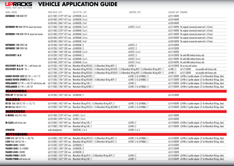| MAKE   MODEL                                                         | ROOF RACK   SIZE                                       | LEG KIT PN.   QTY                                                                                                                               | ADAPTER   QTY                | RAILING 360° REMARKS                                                                                                                                   |
|----------------------------------------------------------------------|--------------------------------------------------------|-------------------------------------------------------------------------------------------------------------------------------------------------|------------------------------|--------------------------------------------------------------------------------------------------------------------------------------------------------|
| <b>DEFENDER 110 HARD TOP</b>                                         | 63-211400   2139*1477 mm 63-FK003B   3 or 5            |                                                                                                                                                 |                              | 63-211400TR                                                                                                                                            |
|                                                                      | 63-241400   2493*1477 mm 63-FK003B   3 to 6            |                                                                                                                                                 |                              | 63-241400TR                                                                                                                                            |
|                                                                      | 63-281400   2846*1477 mm 63-FK003B   3 to7             |                                                                                                                                                 |                              | 63-281400TR                                                                                                                                            |
| <b>DEFENDER 90 HARD TOP NL raised roof version</b>                   | 63-171400   1786*1287 mm 63-FK004B   2 or 4            |                                                                                                                                                 | 63-FEST   2 or 4             | 63-171400TR fits original commercial raised roof (+57mm)                                                                                               |
|                                                                      | 63-211400   2139*1477 mm 63-FK004B   3 or 5            |                                                                                                                                                 |                              | 63-211400TR fits original commercial raised roof (+57mm)                                                                                               |
| <b>DEFENDER 110 HARD TOP NL raised roof version</b>                  | 63-211400   2139*1477 mm 63-FK004B   3 or 5            |                                                                                                                                                 |                              | 63-211400TR fits original commercial raised roof (+57mm)                                                                                               |
|                                                                      | 63-241400   2493*1477 mm 63-FK004B   3 to 6            |                                                                                                                                                 |                              | 63-241400TR fits original commercial raised roof (+57mm)                                                                                               |
|                                                                      | 63-281400   2846*1477 mm 63-FK004B   4 to7             |                                                                                                                                                 |                              | 63-281400TR fits original commercial raised roof (+57mm)                                                                                               |
| <b>DEFENDER 110 CREW CAB</b>                                         | 63-141200   1432*1287 mm 63-FK003B   2                 |                                                                                                                                                 | 63-FEST   2                  | 63-141200TR                                                                                                                                            |
| <b>DEFENDER 130 CREW CAB</b>                                         | 63-141200   1432*1287 mm 63-FK003B   2                 |                                                                                                                                                 | 63-FEST   2                  | 63-141200TR                                                                                                                                            |
|                                                                      | 63-171400   1786*1287 mm  63-FK003B   2 or 4           |                                                                                                                                                 | 63-FEST   2 or 4             | 63-171400TR                                                                                                                                            |
| <b>DISCOVERY I &amp; II</b>                                          | 63-141200   1432*1287 mm 63-FK004B   2                 |                                                                                                                                                 | 63-FEST   2                  | 63-141200TR fits with AND without factory rails                                                                                                        |
|                                                                      | 63-211400   2139*1477 mm 63-FK004B   3 or 5            |                                                                                                                                                 | 63-FEST   3 or 5             | 63-211400TR fits with AND without factory rails                                                                                                        |
|                                                                      | 63-241400   2493*1477 mm 63-FK004B   3 to 6            |                                                                                                                                                 | 63-FEST   3 to 6             | 63-241400TR fits with AND without factory rails                                                                                                        |
| <b>DISCOVERY III &amp; IV</b> '05 $\rightarrow$ with factory rals    |                                                        | 63-141200   1432*1287 mm  Rhino-Rack HD leg RTS502   1 & Rhino-Rack HD leg RLTP   2                                                             | 63-FKR   2                   | 63-141200TR fits on rear roof section                                                                                                                  |
| <b>DISCOVERY III &amp; IV '05 -&gt;</b>                              |                                                        | 63-171200   1786*1287 mm Rhino-Rack HD leg RTS502   1 & Rhino-Rack HD leg RTS502F   1 & Rhino-Rack HD leg RLTP   2 & Rhino-Rack HD leg RLTF   1 |                              | 63-171200TR<br>not possible with factory rails<br>$63$ -FKR $\mid$ 3                                                                                   |
|                                                                      |                                                        | 63-211200   2139*1287 mm Rhino-Rack HD leg RTS502   1 & Rhino-Rack HD leg RTS502F   1 & Rhino-Rack HD leg RLTP   2 & Rhino-Rack HD leg RLTF   1 |                              | not possible with factory rails<br>$63$ -FKR $\mid$ 3<br>63-211200TR                                                                                   |
| <b>RANGE ROVER L322 08/02 &lt;&gt; 01/12</b>                         | 63-211400   2139*1477 mm  Rhino-Rack HD leg RLCP05   1 |                                                                                                                                                 | 63-FKR   3 & 63-FKRAIL   2   | 63-211400TR 63-FKR is C-profile adapter (2) for Rhino-Rack HD legs, black                                                                              |
| <b>RANGE ROVER SPORTS 08/705 &gt;&gt;</b>                            |                                                        | 63-171200   1786*1287 mm  Rhino-Rack HD leg RTS508   1 & Rhino-Rack HD leg RLTP   2                                                             | 63-FKR   2 & 63-FKRAIL   2   | 63-171200TR 63-FKR is C-profile adapter (2) for Rhino-Rack HD legs, black                                                                              |
| <b>FREELANDER</b> $02$ /'98 <> $04$ /'07 with factory rails          | 63-171000   1786*1097 mm  Rhino-Rack HD leg CXB   1    |                                                                                                                                                 | $63$ -FKR $\mid$ 2           | 63-171000TR 63-FKR is C-profile adapter (2) for Rhino-Rack HD legs, black                                                                              |
|                                                                      |                                                        |                                                                                                                                                 |                              |                                                                                                                                                        |
| <b>FREELANDER</b> 02/'98 <> 04/'07                                   | 63-171000   1786*1097 mm  Rhino-Rack HD leg RLFREE   1 |                                                                                                                                                 | 63-FKR   2 & 63-FKRAIL   2   | 63-171000TR 63-FKR is C-profile adapter (2) for Rhino-Rack HD legs, black                                                                              |
| <b>MAHINDRA</b>                                                      |                                                        |                                                                                                                                                 |                              |                                                                                                                                                        |
| PICK UP '07 ON DUAL CAB                                              | 63-141200   1432*1287 mm 63-FK002B   2                 |                                                                                                                                                 |                              | 63-141200TR                                                                                                                                            |
| MAZDA                                                                |                                                        |                                                                                                                                                 |                              |                                                                                                                                                        |
| <b>BT-50</b> DUAL CAB 01/'07 <> $12$ /'12                            |                                                        | 63-141000   1432*1097 mm  Rhino-Rack HD leg RT10   1 & Rhino-Rack HD leg RLTF   2                                                               | 63-FKR   2 & 63-FKRAIL   1   | 63-141000TR 63-FKR is C-profile adapter (2) for Rhino-Rack HD legs, black                                                                              |
| <b>BT-50 DUAL CAB 01/'12 <math>\rightarrow</math></b>                |                                                        | 63-141000   1432*1097 mm Rhino-Rack HD leg RTS525   1 & Rhino-Rack HD leg RLT500N   2                                                           | 63-FKR   2 & 63-FKRAIL   1   | 63-141000TR 63-FKR is C-profile adapter (2) for Rhino-Rack HD legs, black                                                                              |
| <b>MERCEDES</b>                                                      |                                                        |                                                                                                                                                 |                              |                                                                                                                                                        |
| G-MODEL 460/461/463                                                  | 63-211400   2139*1477 mm 63-FK01   3 or 5              |                                                                                                                                                 |                              | 63-211400TR                                                                                                                                            |
|                                                                      | 63-241400   2493*1477 mm 63-FK01   3 to 6              |                                                                                                                                                 |                              | 63-241400TR                                                                                                                                            |
| M-CLASS with factory rails                                           | 63-141000   1432*1097 mm  Rhino-Rack HD leg CXB   1    |                                                                                                                                                 | 63-FKR   2                   | 63-141000TR 63-FKR is C-profile adapter (2) for Rhino-Rack HD legs, black                                                                              |
|                                                                      | 63-171000   1786*1097 mm  Rhino-Rack HD leg CXB   1    |                                                                                                                                                 | 63-FKR   2                   | 63-171000TR 63-FKR is C-profile adapter (2) for Rhino-Rack HD legs, black                                                                              |
| <b>SPRINTER</b>                                                      | under development                                      | 50-RLTFMS   2 or 3                                                                                                                              | 63-FKR   2 or 3              |                                                                                                                                                        |
| <b>MITSUBISHI</b>                                                    |                                                        |                                                                                                                                                 |                              |                                                                                                                                                        |
| <b>L200</b> DUAL CAB $10/96 \le 06/06$                               |                                                        | 63-141000   1432*1097 mm  Rhino-Rack HD leg RTS510   1 & Rhino-Rack HD leg RLTF   2                                                             | 63-FKR   2 & 63-FKRAIL   1   | 63-141000TR 63-FKR is C-profile adapter (2) for Rhino-Rack HD legs, black                                                                              |
| <b>L200 DUAL CAB 06/'06 <math>\rightarrow</math></b>                 |                                                        | 63-141000   1432*1097 mm  Rhino-Rack HD leg RTS509   1 & Rhino-Rack HD leg RLTF   2                                                             | 63-FKR   2 & 63-FKRAIL       | 63-141000TR 63-FKR is C-profile adapter (2) for Rhino-Rack HD legs, black                                                                              |
| <b>PAJERO L040 2 DOORS</b>                                           | 63-141200   1432*1287 mm 63-FK002B   2                 |                                                                                                                                                 |                              | 63-141200TR                                                                                                                                            |
| <b>PAJERO L040 2 &amp; 4 DOORS</b>                                   | 63-171200   1786*1287 mm 63-FK002B   3                 |                                                                                                                                                 |                              | 63-171200TR                                                                                                                                            |
| <b>PAJERO L040 4 DOORS</b>                                           | 63-211200   2139*1287 mm 63-FK002B   3                 |                                                                                                                                                 |                              | 63-211200TR                                                                                                                                            |
| <b>PAJERO PININ 4 DOORS</b><br><b>PAJERO PININ</b> with factory rail | 63-141000   1432*1097 mm  Rhino-Rack HD leg CXB   1    | 63-141000   1432*1097 mm Rhino-Rack HD leg RT14   1 & Rhino-Rack HD leg RLTP   2                                                                | $63$ -FKR $ 2$<br>63-FKR   2 | 63-141000TR 63-FKR is C-profile adapter (2) for Rhino-Rack HD legs, black<br>63-141000TR 63-FKR is C-profile adapter (2) for Rhino-Rack HD legs, black |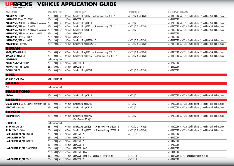PAJERO V20 2 DOORS 63-141000 | 1432\*1097 mm Rhino-Rack HD leg RT12 | 1 & Rhino-Rack HD leg RLTP | 2 63-FKRAIL | 1 63-141000TR 63-FKR is C-profile adapter (2) for Rhino-Rack HD legs, black **PAJERO V20** '91<> '00 4 DOORS 63-211200 | 2139\*1287 mm 63-FK002B | 3 63-21120 **63-211200TR** PAJERO V60/V80 '00 -> 2 DOORS with factory rails 63-171000 | 1786\*1097 mm Rhino-Rack HD leg CXB | 1 63-FKR | 2 63-FKR | 2 63-FKR | 2 63-FKR | 2 63-FKR is C-profile adapter (2) for Rhino-Rack HD legs, black HD legs, black **PAJERO V60/V80** '00  $\rightarrow$  2 DOORS 63-171000 | 1786\*1097 mm Rhino-Rack HD leg RT12 | 1 & Rhino-Rack HD leg RLTP | 2 63-FKR | 2 & 63-FKRAIL | 1 PAJERO V60/V80 '00 > 4 DOORS with factory rails 63-211200 | 2139\*1287 mm Rhino-Rack HD leg CXB | 1 63-FKR | 2 63-FKR | 2 63-211200TR 63-FKR is C-profile adapter (2) for Rhino-Rack HD legs, black **PAJERO V60/V80** '00<> 10/'06 4 DOORS 63-211200 | 2139\*1287 mm 63-FKV6080 | 1 63-211200 FR **PAJERO V80** 10/'06-> 4 DOORS 63-211200 | 2139\*1287 mm 63-FKV6080 | 1 63-71200 **63-811200TR** PAJERO V60/V80 all 4 DOORS 63-211200 | 2139\*1287 mm Rhino-Rack HD leg RL110MP | 3 63-FKR is a 63-FKRAIL | 3 63-FKRAIL | 3 63-FKRAIL | 3 63-FKRAIL | 3 63-211200TR 63-FKR is C-profile adapter (2) for Rhino-Rack HD legs, blac PAJERO SPORT 4 DOORS 63-211200 | 2139\*1287 mm Rhino-Rack HD leg RL110MP | 3 63-FKR | 3 & 63-FKRAIL | 3 63-FKRAIL | 3 63-211200TR 63-FKR is C-profile adapter (2) for Rhino-Rack HD legs, black **NISSAN** MD22/NP300 DUAL CAB 63-141000 | 1432\*1097 mm Rhino-Rack HD leg RT10 | 1 & Rhino-Rack HD leg RLTP | 2 63-FKRAIL | 1 63-141000TR 63-FKR is C-profile adapter (2) for Rhino-Rack HD legs, black NAVARA D40 DUAL CAB 63-141000 | 1432\*1097 mm Rhino-Rack HD leg RTS507 | 1 & Rhino-Rack HD leg RLTP | 2 63-FKR | 2 & 63-FKRAIL | 1 63-141000TR 63-FKR is C-profile adapter (2) for Rhino-Rack HD legs, black **PATHFINDER** under development **PATROL Y60/Y61** 2 DOORS 63-171200 | 1786\*1287 mm 63-FK001B | 3 63-17120 | 1786\*1287 mm 63-FK001B | 3 63-17120 TR **PATROL Y60/Y61** 4 DOORS 63-211200 | 2139\*1287 mm 63-FK001B | 3 63-21120 **63-21120 63-21120 FM X-TRAIL T31** '07  $\rightarrow$  63-171000 | 1786\*1097 mm Rhino-Rack HD leg RLCP19 | 1 63-FKR | 2 & 63-FKR | 2 & 63-FKRAIL | 2 63-171000TR **OPEL ANTARA / CAPTIVA** under development **SKODA YETI** under development **SSANGYONG** REXTON 63-171000 | 1786\*1097 mm Rhino-Rack HD leg CXB | 1 63-FKR | 2 63-FKR | 2 63-171000TR 63-FKR is C-profile adapter (2) for Rhino-Rack HD leas. black **SUZUKI** GRAND VITARA '06 <> 5 DOORS with factory rails 63-171000 | 1786\*1097 mm Rhino-Rack HD leg RLCP12 | 1 63-FKR is C-profile adapter (2) for Rhino-Rack HD legs, black JIMNY with factory rails 63-141000 | 1432\*1097 mm Rhino-Rack HD leg CXB | 1 63-FKR | 2 63-T4T 000TR 63-T41000TR 63-FKR is C-profile adapter (2) for Rhino-Rack HD legs, black **TOYOTA 4RUNNER** 89>96 63-171000 | 1786\*1097 mm Rhino-Rack HD leg RLTP | 2 63-FKR | 2 63-FKR i 2 63-171000TR 63-FKR is C-profile adapter (2) for Rhino-Rack HD legs, black +Rhino-Track set RT16 | 1 **FJ CRUISER** under development HILUX DUAL CAB '05 -> 63-141000 | 1432\*1097 mm Rhino-Rack HD leg RTS03 | 1 & Rhino-Rack HD leg RLT500N | 2 63-FKRAIL | 1 63-141000TR 63-FKR is C-profile adapter (2) for Rhino-Rack HD legs, black HILUX EXTRA CAB '05 > 63-141000 | 1432\*1097 mm Rhino-Rack HD leg RTS03 | 1 & Rhino-Rack HD leg RLT500N | 2 63-FKR | 2 & 63-FKRAIL | 1 63-141000TR 63-FKR is C-profile adapter (2) for Rhino-Rack HD legs, black **LANDCRUISER 40/42** HARD TOP 63-141200 | 1432\*1287 mm 63-FK002B | 2 63-14120 63-141200 TR **LANDCRUISER 60/61** 63-211200 | 2139\*1287 mm 63-FK001B | 3 63-21120 **63-211200 FR LANDCRUISER 70/71** HARD TOP 63-141200 | 1432\*1287 mm 63-FK002B | 2 63-14120 **63-141200TR** 63-171200 | 1786\*1287 mm 63-FK002B | 3 63-171200TR **LANDCRUISER 75/78** TROOP CARRIER 63-211400 | 2139\*1477 mm 63-FK002B | 3 or 5 63-211 **63-811 63-811400TR** 63-241400 | 2493\*1477 mm 63-FK002B | 3 to 6 63 = 63:241400TR 63-281400 | 2846\*1477 mm 63-FK002B | 3 or 5 or 6 + 63-FK03 one set for the front | 1 63-FEST | 1 63-281400TR 63-FEST is used as extension front legs MAKE | MODEL ROOF RACK | SIZE LEG KIT PN. | QTY ADAPTER | QTY RAILING 360º REMARKS

**LANDCRUISER 75/79** PICKUP 63-141200 | 1432\*1287 mm 63-FK003B | 2 63-FEST | 2 63-FEST | 2 63-141200 TR